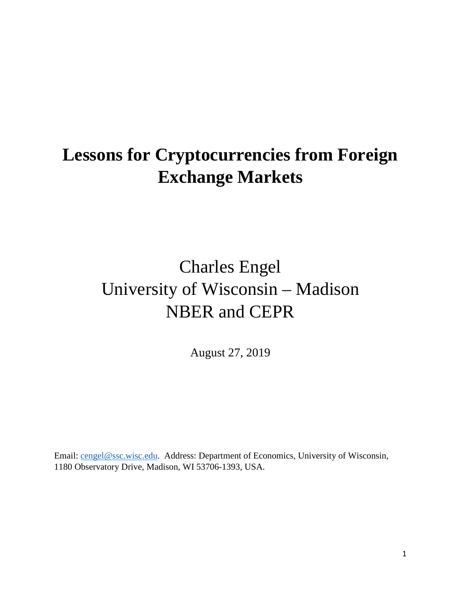# **Lessons for Cryptocurrencies from Foreign Exchange Markets**

# Charles Engel University of Wisconsin – Madison NBER and CEPR

August 27, 2019

Email: [cengel@ssc.wisc.edu.](mailto:cengel@ssc.wisc.edu) Address: Department of Economics, University of Wisconsin, 1180 Observatory Drive, Madison, WI 53706-1393, USA.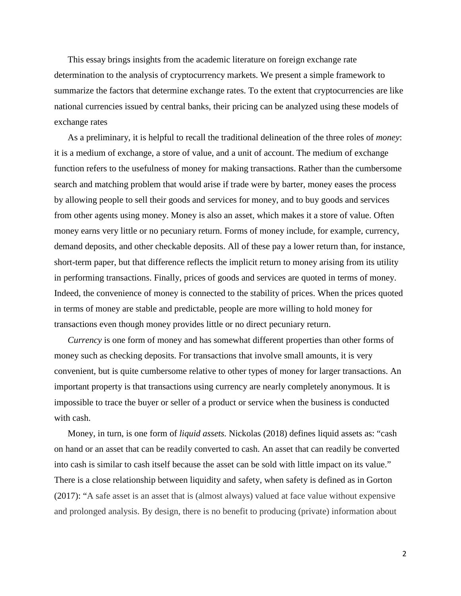This essay brings insights from the academic literature on foreign exchange rate determination to the analysis of cryptocurrency markets. We present a simple framework to summarize the factors that determine exchange rates. To the extent that cryptocurrencies are like national currencies issued by central banks, their pricing can be analyzed using these models of exchange rates

As a preliminary, it is helpful to recall the traditional delineation of the three roles of *money*: it is a medium of exchange, a store of value, and a unit of account. The medium of exchange function refers to the usefulness of money for making transactions. Rather than the cumbersome search and matching problem that would arise if trade were by barter, money eases the process by allowing people to sell their goods and services for money, and to buy goods and services from other agents using money. Money is also an asset, which makes it a store of value. Often money earns very little or no pecuniary return. Forms of money include, for example, currency, demand deposits, and other checkable deposits. All of these pay a lower return than, for instance, short-term paper, but that difference reflects the implicit return to money arising from its utility in performing transactions. Finally, prices of goods and services are quoted in terms of money. Indeed, the convenience of money is connected to the stability of prices. When the prices quoted in terms of money are stable and predictable, people are more willing to hold money for transactions even though money provides little or no direct pecuniary return.

*Currency* is one form of money and has somewhat different properties than other forms of money such as checking deposits. For transactions that involve small amounts, it is very convenient, but is quite cumbersome relative to other types of money for larger transactions. An important property is that transactions using currency are nearly completely anonymous. It is impossible to trace the buyer or seller of a product or service when the business is conducted with cash.

Money, in turn, is one form of *liquid assets.* Nickolas (2018) defines liquid assets as: "cash on hand or an asset that can be readily converted to cash. An asset that can readily be converted into cash is similar to cash itself because the asset can be sold with little impact on its value." There is a close relationship between liquidity and safety, when safety is defined as in Gorton (2017): "A safe asset is an asset that is (almost always) valued at face value without expensive and prolonged analysis. By design, there is no benefit to producing (private) information about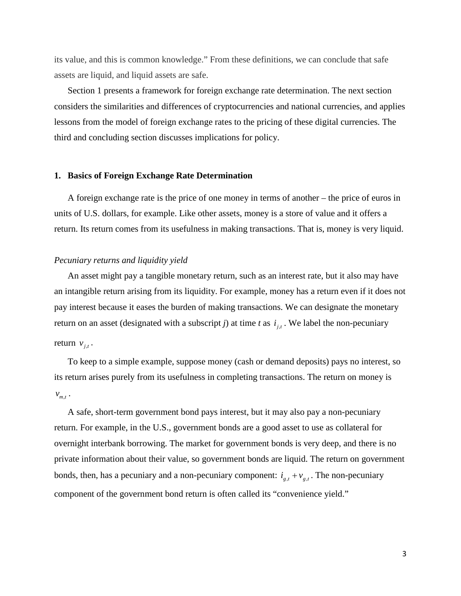its value, and this is common knowledge." From these definitions, we can conclude that safe assets are liquid, and liquid assets are safe.

Section 1 presents a framework for foreign exchange rate determination. The next section considers the similarities and differences of cryptocurrencies and national currencies, and applies lessons from the model of foreign exchange rates to the pricing of these digital currencies. The third and concluding section discusses implications for policy.

# **1. Basics of Foreign Exchange Rate Determination**

A foreign exchange rate is the price of one money in terms of another – the price of euros in units of U.S. dollars, for example. Like other assets, money is a store of value and it offers a return. Its return comes from its usefulness in making transactions. That is, money is very liquid.

## *Pecuniary returns and liquidity yield*

An asset might pay a tangible monetary return, such as an interest rate, but it also may have an intangible return arising from its liquidity. For example, money has a return even if it does not pay interest because it eases the burden of making transactions. We can designate the monetary return on an asset (designated with a subscript *j*) at time *t* as  $i_{i,t}$ . We label the non-pecuniary return  $v_{j,t}$ .

To keep to a simple example, suppose money (cash or demand deposits) pays no interest, so its return arises purely from its usefulness in completing transactions. The return on money is  $V_{m,t}$ .

A safe, short-term government bond pays interest, but it may also pay a non-pecuniary return. For example, in the U.S., government bonds are a good asset to use as collateral for overnight interbank borrowing. The market for government bonds is very deep, and there is no private information about their value, so government bonds are liquid. The return on government bonds, then, has a pecuniary and a non-pecuniary component:  $i_{g,t} + v_{g,t}$ . The non-pecuniary component of the government bond return is often called its "convenience yield."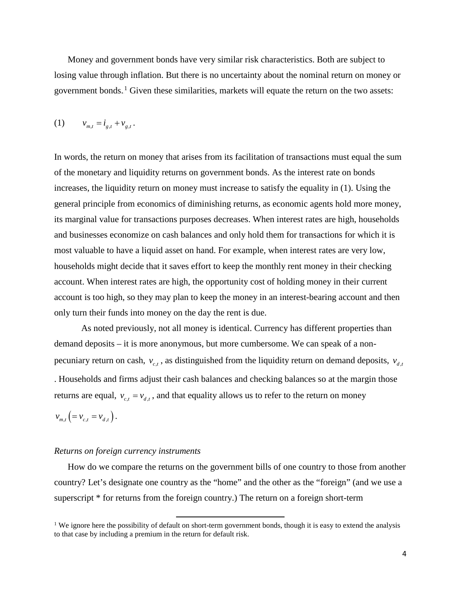Money and government bonds have very similar risk characteristics. Both are subject to losing value through inflation. But there is no uncertainty about the nominal return on money or government bonds.<sup>1</sup> Given these similarities, markets will equate the return on the two assets:

(1)  $v_{m,t} = i_{g,t} + v_{g,t}$ .

In words, the return on money that arises from its facilitation of transactions must equal the sum of the monetary and liquidity returns on government bonds. As the interest rate on bonds increases, the liquidity return on money must increase to satisfy the equality in (1). Using the general principle from economics of diminishing returns, as economic agents hold more money, its marginal value for transactions purposes decreases. When interest rates are high, households and businesses economize on cash balances and only hold them for transactions for which it is most valuable to have a liquid asset on hand. For example, when interest rates are very low, households might decide that it saves effort to keep the monthly rent money in their checking account. When interest rates are high, the opportunity cost of holding money in their current account is too high, so they may plan to keep the money in an interest-bearing account and then only turn their funds into money on the day the rent is due.

As noted previously, not all money is identical. Currency has different properties than demand deposits – it is more anonymous, but more cumbersome. We can speak of a nonpecuniary return on cash,  $v_{c,t}$ , as distinguished from the liquidity return on demand deposits,  $v_{d,t}$ . Households and firms adjust their cash balances and checking balances so at the margin those returns are equal,  $v_{c,t} = v_{d,t}$ , and that equality allows us to refer to the return on money  $v_{m,t}$   $\left( = v_{c,t} = v_{d,t} \right)$ .

#### *Returns on foreign currency instruments*

How do we compare the returns on the government bills of one country to those from another country? Let's designate one country as the "home" and the other as the "foreign" (and we use a superscript \* for returns from the foreign country.) The return on a foreign short-term

l

<sup>&</sup>lt;sup>1</sup> We ignore here the possibility of default on short-term government bonds, though it is easy to extend the analysis to that case by including a premium in the return for default risk.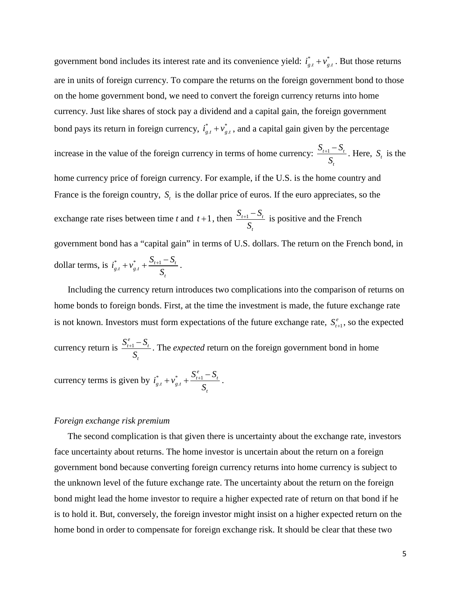government bond includes its interest rate and its convenience yield:  $i_{g,t}^* + v_{g,t}^*$ . But those returns are in units of foreign currency. To compare the returns on the foreign government bond to those on the home government bond, we need to convert the foreign currency returns into home currency. Just like shares of stock pay a dividend and a capital gain, the foreign government bond pays its return in foreign currency,  $i_{g,t}^* + v_{g,t}^*$ , and a capital gain given by the percentage increase in the value of the foreign currency in terms of home currency:  $\frac{b_{t+1} - b_t}{a}$ *t*  $S_{t+1} - S$  $\frac{+1}{s}$   $\frac{-S_t}{S_t}$ . Here,  $S_t$  is the home currency price of foreign currency. For example, if the U.S. is the home country and France is the foreign country,  $S_t$  is the dollar price of euros. If the euro appreciates, so the exchange rate rises between time *t* and  $t+1$ , then  $\frac{b_{t+1}-b_t}{a}$ *t*  $S_{t+1} - S$ *S*  $\frac{1}{s} + \frac{1}{s}$  is positive and the French government bond has a "capital gain" in terms of U.S. dollars. The return on the French bond, in dollar terms, is  $i_{g,t}^* + v_{g,t}^* + \frac{b_{t+1} - b_t}{g}$ *t*  $i_{\varrho,t}^* + v_{\varrho,t}^* + \frac{S_{t+1} - S}{S}$ *S*  $+ v_{i}^* + \frac{S_{i+1} - S_i}{S_{i+1}}$ .

Including the currency return introduces two complications into the comparison of returns on home bonds to foreign bonds. First, at the time the investment is made, the future exchange rate is not known. Investors must form expectations of the future exchange rate,  $S_{t+1}^e$ , so the expected currency return is  $\frac{D_{t+1}}{T}$ *e*  $S_{t+1}^e - S_{t}^e$ *t S*  $\frac{f_{+} - S_{t}}{g}$ . The *expected* return on the foreign government bond in home *e*

currency terms is given by  $i_{g,t}^* + v_{g,t}^* + \frac{\mathbf{D}_{t+1}}{t}$  $y_{g,t}^* + v_{g,t}^* + \frac{\omega_{t+1}^* - \omega_t}{\sigma}$ *t*  $i_{e,t}^* + v_{e,t}^* + \frac{S_{t+1}^e - S}{g}$ *S*  $+ v_{i,t}^* + \frac{S_{t+1}^e - S_t}{S}$ .

#### *Foreign exchange risk premium*

The second complication is that given there is uncertainty about the exchange rate, investors face uncertainty about returns. The home investor is uncertain about the return on a foreign government bond because converting foreign currency returns into home currency is subject to the unknown level of the future exchange rate. The uncertainty about the return on the foreign bond might lead the home investor to require a higher expected rate of return on that bond if he is to hold it. But, conversely, the foreign investor might insist on a higher expected return on the home bond in order to compensate for foreign exchange risk. It should be clear that these two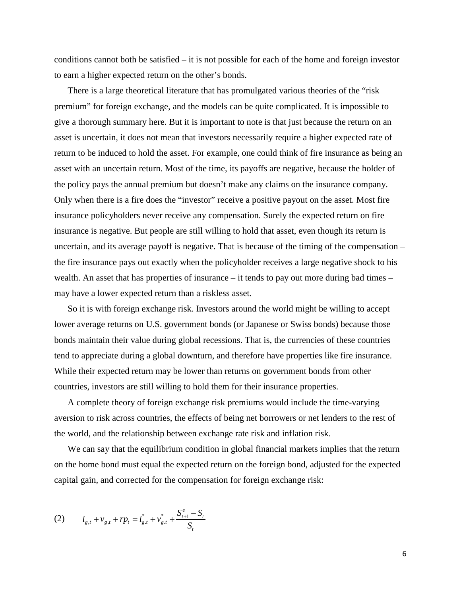conditions cannot both be satisfied – it is not possible for each of the home and foreign investor to earn a higher expected return on the other's bonds.

There is a large theoretical literature that has promulgated various theories of the "risk premium" for foreign exchange, and the models can be quite complicated. It is impossible to give a thorough summary here. But it is important to note is that just because the return on an asset is uncertain, it does not mean that investors necessarily require a higher expected rate of return to be induced to hold the asset. For example, one could think of fire insurance as being an asset with an uncertain return. Most of the time, its payoffs are negative, because the holder of the policy pays the annual premium but doesn't make any claims on the insurance company. Only when there is a fire does the "investor" receive a positive payout on the asset. Most fire insurance policyholders never receive any compensation. Surely the expected return on fire insurance is negative. But people are still willing to hold that asset, even though its return is uncertain, and its average payoff is negative. That is because of the timing of the compensation – the fire insurance pays out exactly when the policyholder receives a large negative shock to his wealth. An asset that has properties of insurance – it tends to pay out more during bad times – may have a lower expected return than a riskless asset.

So it is with foreign exchange risk. Investors around the world might be willing to accept lower average returns on U.S. government bonds (or Japanese or Swiss bonds) because those bonds maintain their value during global recessions. That is, the currencies of these countries tend to appreciate during a global downturn, and therefore have properties like fire insurance. While their expected return may be lower than returns on government bonds from other countries, investors are still willing to hold them for their insurance properties.

A complete theory of foreign exchange risk premiums would include the time-varying aversion to risk across countries, the effects of being net borrowers or net lenders to the rest of the world, and the relationship between exchange rate risk and inflation risk.

We can say that the equilibrium condition in global financial markets implies that the return on the home bond must equal the expected return on the foreign bond, adjusted for the expected capital gain, and corrected for the compensation for foreign exchange risk:

(2) 
$$
i_{g,t} + v_{g,t} + rp_t = i_{g,t}^* + v_{g,t}^* + \frac{S_{t+1}^e - S_t}{S_t}
$$

6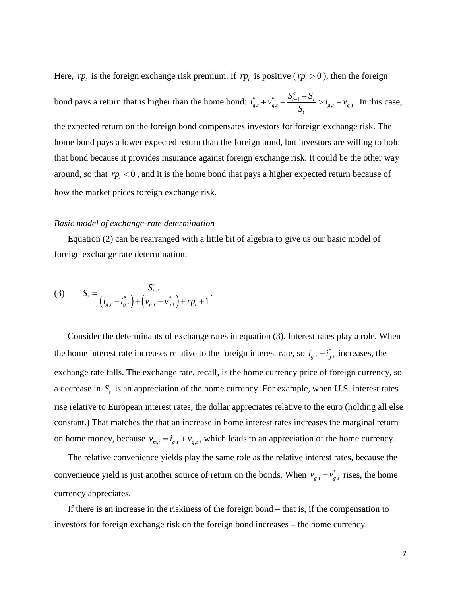Here,  $rp_t$  is the foreign exchange risk premium. If  $rp_t$  is positive ( $rp_t > 0$ ), then the foreign bond pays a return that is higher than the home bond:  $i_{g,t}^* + v_{g,t}^* + \frac{b_{t+1} - b_t}{g} > i_{g,t} + v_{g,t}$ *e*  $\frac{f_{g,t}}{g_{t}} + \frac{V_{t+1}}{g_{t}} + \frac{V_{t+1}}{g_{t}} > i_{g,t} + V_{g,t}$ *t*  $i_{p,t}^* + v_{p,t}^* + \frac{S_{t+1}^e - S_t}{S} > i_{p,t}^* + v_{t}^*$ *S*  $+v_{e,t}^* + \frac{S_{t+1}^e - S_t}{Z} > i_{e,t} + v_{e,t}$ . In this case,

the expected return on the foreign bond compensates investors for foreign exchange risk. The home bond pays a lower expected return than the foreign bond, but investors are willing to hold that bond because it provides insurance against foreign exchange risk. It could be the other way around, so that  $rp_t < 0$ , and it is the home bond that pays a higher expected return because of how the market prices foreign exchange risk.

#### *Basic model of exchange-rate determination*

Equation (2) can be rearranged with a little bit of algebra to give us our basic model of foreign exchange rate determination:

(3) 
$$
S_t = \frac{S_{t+1}^e}{(i_{g,t} - i_{g,t}^*) + (v_{g,t} - v_{g,t}^*) + rp_t + 1}.
$$

Consider the determinants of exchange rates in equation (3). Interest rates play a role. When the home interest rate increases relative to the foreign interest rate, so  $i_{g,t} - i_{g,t}^*$  increases, the exchange rate falls. The exchange rate, recall, is the home currency price of foreign currency, so a decrease in *S<sub>t</sub>* is an appreciation of the home currency. For example, when U.S. interest rates rise relative to European interest rates, the dollar appreciates relative to the euro (holding all else constant.) That matches the that an increase in home interest rates increases the marginal return on home money, because  $v_{m,t} = i_{g,t} + v_{g,t}$ , which leads to an appreciation of the home currency.

The relative convenience yields play the same role as the relative interest rates, because the convenience yield is just another source of return on the bonds. When  $v_{g,t} - v_{g,t}^*$  rises, the home currency appreciates.

If there is an increase in the riskiness of the foreign bond – that is, if the compensation to investors for foreign exchange risk on the foreign bond increases – the home currency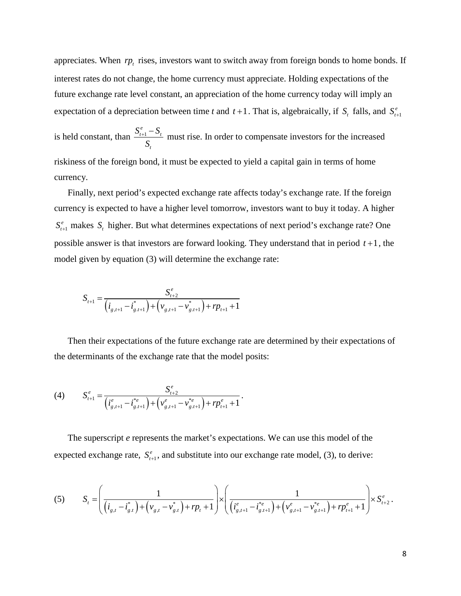appreciates. When  $rp_t$  rises, investors want to switch away from foreign bonds to home bonds. If interest rates do not change, the home currency must appreciate. Holding expectations of the future exchange rate level constant, an appreciation of the home currency today will imply an expectation of a depreciation between time *t* and  $t + 1$ . That is, algebraically, if  $S_t$  falls, and  $S_{t+1}^e$ 

is held constant, than  $\frac{D_{t+1}}{A}$ *e*  $t+1$   $\rightarrow$   $t$ *t*  $S_{t+1}^e-S$ *S*  $+\frac{1}{2}$  must rise. In order to compensate investors for the increased riskiness of the foreign bond, it must be expected to yield a capital gain in terms of home currency.

Finally, next period's expected exchange rate affects today's exchange rate. If the foreign currency is expected to have a higher level tomorrow, investors want to buy it today. A higher 1  $S_{t+1}^e$  makes  $S_t$  higher. But what determines expectations of next period's exchange rate? One possible answer is that investors are forward looking. They understand that in period  $t+1$ , the model given by equation (3) will determine the exchange rate:

$$
S_{t+1} = \frac{S_{t+2}^{e}}{(i_{g,t+1} - i_{g,t+1}^{*}) + (v_{g,t+1} - v_{g,t+1}^{*}) + rp_{t+1} + 1}
$$

Then their expectations of the future exchange rate are determined by their expectations of the determinants of the exchange rate that the model posits:

(4) 
$$
S_{t+1}^{e} = \frac{S_{t+2}^{e}}{(i_{g,t+1}^{e} - i_{g,t+1}^{*e}) + (v_{g,t+1}^{e} - v_{g,t+1}^{*e}) + rp_{t+1}^{e} + 1}.
$$

The superscript *e* represents the market's expectations. We can use this model of the expected exchange rate,  $S_{t+1}^e$ , and substitute into our exchange rate model, (3), to derive:

$$
(5) \qquad S_{t} = \left(\frac{1}{\left(i_{g,t} - i_{g,t}^{*}\right) + \left(v_{g,t} - v_{g,t}^{*}\right) + rp_{t} + 1}\right) \times \left(\frac{1}{\left(i_{g,t+1}^{e} - i_{g,t+1}^{*e}\right) + \left(v_{g,t+1}^{e} - v_{g,t+1}^{*e}\right) + rp_{t+1}^{e} + 1}\right) \times S_{t+2}^{e}.
$$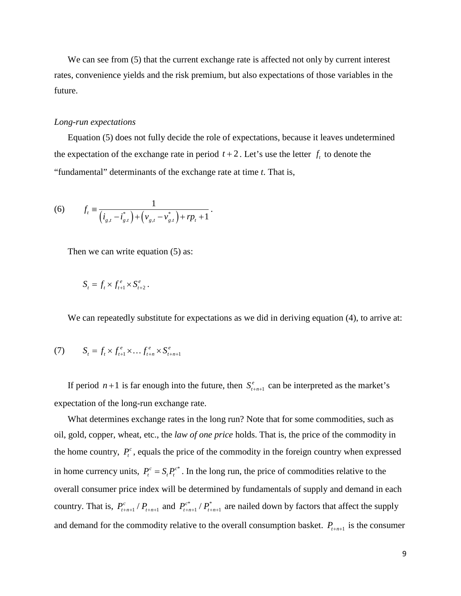We can see from (5) that the current exchange rate is affected not only by current interest rates, convenience yields and the risk premium, but also expectations of those variables in the future.

# *Long-run expectations*

Equation (5) does not fully decide the role of expectations, because it leaves undetermined the expectation of the exchange rate in period  $t + 2$ . Let's use the letter  $f_t$  to denote the "fundamental" determinants of the exchange rate at time *t*. That is,

(6) 
$$
f_t \equiv \frac{1}{(i_{g,t} - i_{g,t}^*) + (v_{g,t} - v_{g,t}^*) + rp_t + 1}.
$$

Then we can write equation  $(5)$  as:

$$
S_t = f_t \times f_{t+1}^e \times S_{t+2}^e.
$$

We can repeatedly substitute for expectations as we did in deriving equation (4), to arrive at:

(7) 
$$
S_{t} = f_{t} \times f_{t+1}^{e} \times \dots f_{t+n}^{e} \times S_{t+n+1}^{e}
$$

If period  $n+1$  is far enough into the future, then  $S_{t+n+1}^e$  can be interpreted as the market's expectation of the long-run exchange rate.

What determines exchange rates in the long run? Note that for some commodities, such as oil, gold, copper, wheat, etc., the *law of one price* holds. That is, the price of the commodity in the home country,  $P_t^c$ , equals the price of the commodity in the foreign country when expressed in home currency units,  $P_t^c = S_t P_t^{c^*}$ . In the long run, the price of commodities relative to the overall consumer price index will be determined by fundamentals of supply and demand in each country. That is,  $P_{t+n+1}^c / P_{t+n+1}$  and  $P_{t+n+1}^{c^*} / P_{t+n+1}^*$  are nailed down by factors that affect the supply and demand for the commodity relative to the overall consumption basket.  $P_{t+n+1}$  is the consumer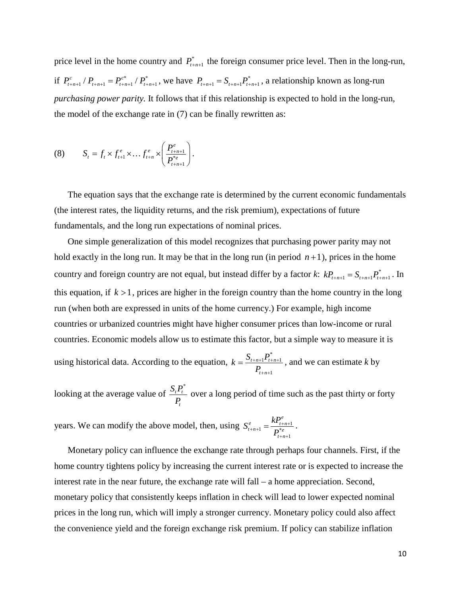price level in the home country and  $P_{t+n+1}^*$  the foreign consumer price level. Then in the long-run, if  $P_{t+n+1}^c / P_{t+n+1} = P_{t+n+1}^{c^*} / P_{t+n+1}^*$ , we have  $P_{t+n+1} = S_{t+n+1} P_{t+n+1}^*$ , a relationship known as long-run *purchasing power parity.* It follows that if this relationship is expected to hold in the long-run, the model of the exchange rate in (7) can be finally rewritten as:

(8) 
$$
S_{t} = f_{t} \times f_{t+1}^{e} \times \ldots f_{t+n}^{e} \times \left(\frac{P_{t+n+1}^{e}}{P_{t+n+1}^{*e}}\right).
$$

The equation says that the exchange rate is determined by the current economic fundamentals (the interest rates, the liquidity returns, and the risk premium), expectations of future fundamentals, and the long run expectations of nominal prices.

One simple generalization of this model recognizes that purchasing power parity may not hold exactly in the long run. It may be that in the long run (in period  $n+1$ ), prices in the home country and foreign country are not equal, but instead differ by a factor *k*:  $kP_{t+n+1} = S_{t+n+1}P_{t+n+1}^*$ . In this equation, if  $k > 1$ , prices are higher in the foreign country than the home country in the long run (when both are expressed in units of the home currency.) For example, high income countries or urbanized countries might have higher consumer prices than low-income or rural countries. Economic models allow us to estimate this factor, but a simple way to measure it is

using historical data. According to the equation, \*  $1^{\prime}$  t+n+1 1  $t+n+1$ <sup>*t*</sup>  $t+n$  $t + n$  $k = \frac{S_{t+n+1}P_t}{P_t}$ *P*  $+n+1$ <sup>t</sup>  $t+n+$  $+n+$  $=\frac{D_{t+n+1}I_{t+n+1}}{2}$ , and we can estimate k by

looking at the average value of \* *t t t*  $\frac{S_i P_i^*}{P_i}$  over a long period of time such as the past thirty or forty

years. We can modify the above model, then, using  $S_{t+n+1}^e = \frac{N_{t+n+1}}{R^*e}$ 1 *e*  $\qquad E P_{t+n}^e$  $_{t+n+1}$  –  $_{D^*e}$  $t + n$  $S_{t+n+1}^e = \frac{kP_t}{R}$ *P*  $t_{n+1}^e = \frac{H_{t+n+1}}{B^*e}$  $+n+$  $=\frac{N_{t+n+1}}{n^{*_{a}}}$ .

Monetary policy can influence the exchange rate through perhaps four channels. First, if the home country tightens policy by increasing the current interest rate or is expected to increase the interest rate in the near future, the exchange rate will fall – a home appreciation. Second, monetary policy that consistently keeps inflation in check will lead to lower expected nominal prices in the long run, which will imply a stronger currency. Monetary policy could also affect the convenience yield and the foreign exchange risk premium. If policy can stabilize inflation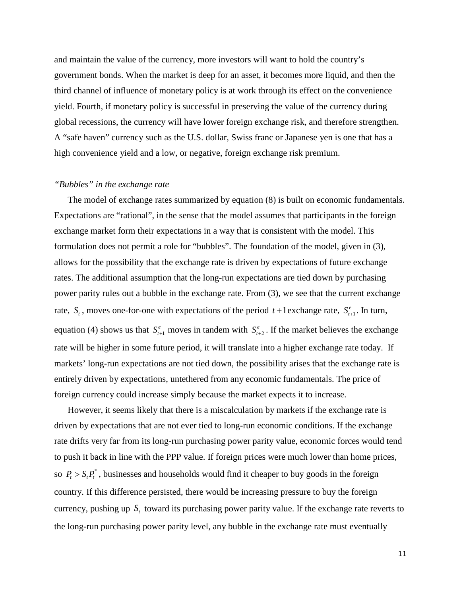and maintain the value of the currency, more investors will want to hold the country's government bonds. When the market is deep for an asset, it becomes more liquid, and then the third channel of influence of monetary policy is at work through its effect on the convenience yield. Fourth, if monetary policy is successful in preserving the value of the currency during global recessions, the currency will have lower foreign exchange risk, and therefore strengthen. A "safe haven" currency such as the U.S. dollar, Swiss franc or Japanese yen is one that has a high convenience yield and a low, or negative, foreign exchange risk premium.

# *"Bubbles" in the exchange rate*

The model of exchange rates summarized by equation (8) is built on economic fundamentals. Expectations are "rational", in the sense that the model assumes that participants in the foreign exchange market form their expectations in a way that is consistent with the model. This formulation does not permit a role for "bubbles". The foundation of the model, given in (3), allows for the possibility that the exchange rate is driven by expectations of future exchange rates. The additional assumption that the long-run expectations are tied down by purchasing power parity rules out a bubble in the exchange rate. From (3), we see that the current exchange rate,  $S_t$ , moves one-for-one with expectations of the period  $t + 1$  exchange rate,  $S_{t+1}^e$ . In turn, equation (4) shows us that  $S_{t+1}^e$  moves in tandem with  $S_{t+2}^e$ . If the market believes the exchange rate will be higher in some future period, it will translate into a higher exchange rate today. If markets' long-run expectations are not tied down, the possibility arises that the exchange rate is entirely driven by expectations, untethered from any economic fundamentals. The price of foreign currency could increase simply because the market expects it to increase.

However, it seems likely that there is a miscalculation by markets if the exchange rate is driven by expectations that are not ever tied to long-run economic conditions. If the exchange rate drifts very far from its long-run purchasing power parity value, economic forces would tend to push it back in line with the PPP value. If foreign prices were much lower than home prices, so  $P_t > S_t P_t^*$ , businesses and households would find it cheaper to buy goods in the foreign country. If this difference persisted, there would be increasing pressure to buy the foreign currency, pushing up *S<sub>t</sub>* toward its purchasing power parity value. If the exchange rate reverts to the long-run purchasing power parity level, any bubble in the exchange rate must eventually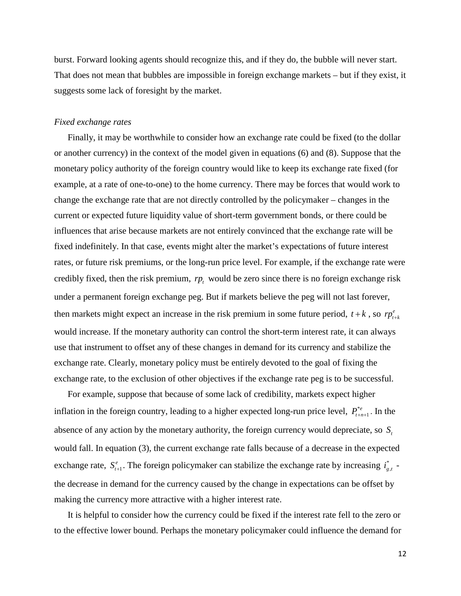burst. Forward looking agents should recognize this, and if they do, the bubble will never start. That does not mean that bubbles are impossible in foreign exchange markets – but if they exist, it suggests some lack of foresight by the market.

### *Fixed exchange rates*

Finally, it may be worthwhile to consider how an exchange rate could be fixed (to the dollar or another currency) in the context of the model given in equations (6) and (8). Suppose that the monetary policy authority of the foreign country would like to keep its exchange rate fixed (for example, at a rate of one-to-one) to the home currency. There may be forces that would work to change the exchange rate that are not directly controlled by the policymaker – changes in the current or expected future liquidity value of short-term government bonds, or there could be influences that arise because markets are not entirely convinced that the exchange rate will be fixed indefinitely. In that case, events might alter the market's expectations of future interest rates, or future risk premiums, or the long-run price level. For example, if the exchange rate were credibly fixed, then the risk premium,  $rp_t$  would be zero since there is no foreign exchange risk under a permanent foreign exchange peg. But if markets believe the peg will not last forever, then markets might expect an increase in the risk premium in some future period,  $t + k$ , so  $rp_{t+k}^e$ would increase. If the monetary authority can control the short-term interest rate, it can always use that instrument to offset any of these changes in demand for its currency and stabilize the exchange rate. Clearly, monetary policy must be entirely devoted to the goal of fixing the exchange rate, to the exclusion of other objectives if the exchange rate peg is to be successful.

For example, suppose that because of some lack of credibility, markets expect higher inflation in the foreign country, leading to a higher expected long-run price level,  $P_{t+n+1}^{*c}$ . In the absence of any action by the monetary authority, the foreign currency would depreciate, so *S*, would fall. In equation (3), the current exchange rate falls because of a decrease in the expected exchange rate,  $S_{t+1}^e$ . The foreign policymaker can stabilize the exchange rate by increasing  $i_{g,t}^*$  the decrease in demand for the currency caused by the change in expectations can be offset by making the currency more attractive with a higher interest rate.

It is helpful to consider how the currency could be fixed if the interest rate fell to the zero or to the effective lower bound. Perhaps the monetary policymaker could influence the demand for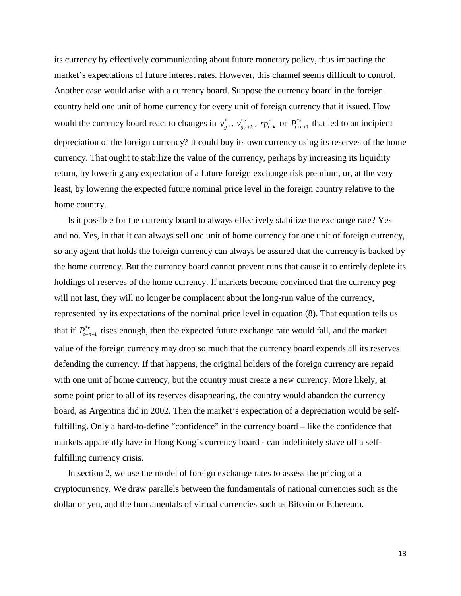its currency by effectively communicating about future monetary policy, thus impacting the market's expectations of future interest rates. However, this channel seems difficult to control. Another case would arise with a currency board. Suppose the currency board in the foreign country held one unit of home currency for every unit of foreign currency that it issued. How would the currency board react to changes in  $v_{g,t}^*$ ,  $v_{g,t}^*$  $v_{g,t+k}^{*}$ , *rp*<sub>t<sub>+k</sub></sup> or  $P_{t+n+1}^{*}$  that led to an incipient</sub> depreciation of the foreign currency? It could buy its own currency using its reserves of the home currency. That ought to stabilize the value of the currency, perhaps by increasing its liquidity return, by lowering any expectation of a future foreign exchange risk premium, or, at the very least, by lowering the expected future nominal price level in the foreign country relative to the home country.

Is it possible for the currency board to always effectively stabilize the exchange rate? Yes and no. Yes, in that it can always sell one unit of home currency for one unit of foreign currency, so any agent that holds the foreign currency can always be assured that the currency is backed by the home currency. But the currency board cannot prevent runs that cause it to entirely deplete its holdings of reserves of the home currency. If markets become convinced that the currency peg will not last, they will no longer be complacent about the long-run value of the currency, represented by its expectations of the nominal price level in equation (8). That equation tells us that if  $P_{t+n+1}^{e}$  rises enough, then the expected future exchange rate would fall, and the market value of the foreign currency may drop so much that the currency board expends all its reserves defending the currency. If that happens, the original holders of the foreign currency are repaid with one unit of home currency, but the country must create a new currency. More likely, at some point prior to all of its reserves disappearing, the country would abandon the currency board, as Argentina did in 2002. Then the market's expectation of a depreciation would be selffulfilling. Only a hard-to-define "confidence" in the currency board – like the confidence that markets apparently have in Hong Kong's currency board - can indefinitely stave off a selffulfilling currency crisis.

In section 2, we use the model of foreign exchange rates to assess the pricing of a cryptocurrency. We draw parallels between the fundamentals of national currencies such as the dollar or yen, and the fundamentals of virtual currencies such as Bitcoin or Ethereum.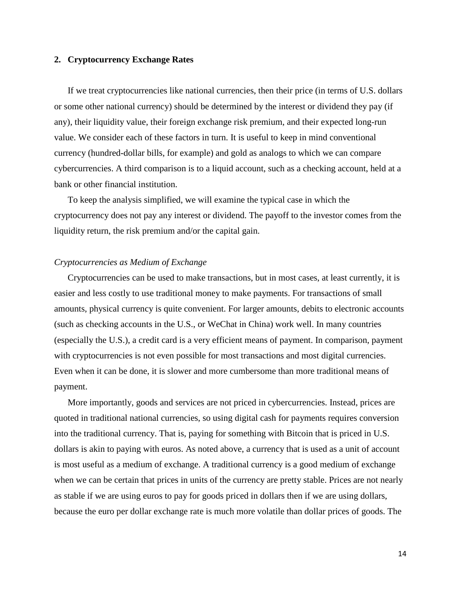# **2. Cryptocurrency Exchange Rates**

If we treat cryptocurrencies like national currencies, then their price (in terms of U.S. dollars or some other national currency) should be determined by the interest or dividend they pay (if any), their liquidity value, their foreign exchange risk premium, and their expected long-run value. We consider each of these factors in turn. It is useful to keep in mind conventional currency (hundred-dollar bills, for example) and gold as analogs to which we can compare cybercurrencies. A third comparison is to a liquid account, such as a checking account, held at a bank or other financial institution.

To keep the analysis simplified, we will examine the typical case in which the cryptocurrency does not pay any interest or dividend. The payoff to the investor comes from the liquidity return, the risk premium and/or the capital gain.

# *Cryptocurrencies as Medium of Exchange*

Cryptocurrencies can be used to make transactions, but in most cases, at least currently, it is easier and less costly to use traditional money to make payments. For transactions of small amounts, physical currency is quite convenient. For larger amounts, debits to electronic accounts (such as checking accounts in the U.S., or WeChat in China) work well. In many countries (especially the U.S.), a credit card is a very efficient means of payment. In comparison, payment with cryptocurrencies is not even possible for most transactions and most digital currencies. Even when it can be done, it is slower and more cumbersome than more traditional means of payment.

More importantly, goods and services are not priced in cybercurrencies. Instead, prices are quoted in traditional national currencies, so using digital cash for payments requires conversion into the traditional currency. That is, paying for something with Bitcoin that is priced in U.S. dollars is akin to paying with euros. As noted above, a currency that is used as a unit of account is most useful as a medium of exchange. A traditional currency is a good medium of exchange when we can be certain that prices in units of the currency are pretty stable. Prices are not nearly as stable if we are using euros to pay for goods priced in dollars then if we are using dollars, because the euro per dollar exchange rate is much more volatile than dollar prices of goods. The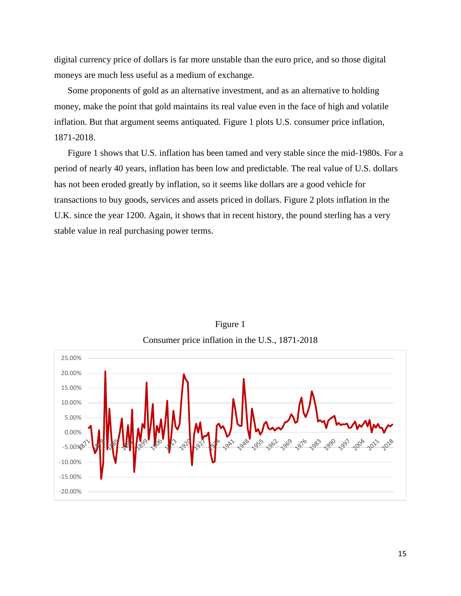digital currency price of dollars is far more unstable than the euro price, and so those digital moneys are much less useful as a medium of exchange.

Some proponents of gold as an alternative investment, and as an alternative to holding money, make the point that gold maintains its real value even in the face of high and volatile inflation. But that argument seems antiquated. Figure 1 plots U.S. consumer price inflation, 1871-2018.

Figure 1 shows that U.S. inflation has been tamed and very stable since the mid-1980s. For a period of nearly 40 years, inflation has been low and predictable. The real value of U.S. dollars has not been eroded greatly by inflation, so it seems like dollars are a good vehicle for transactions to buy goods, services and assets priced in dollars. Figure 2 plots inflation in the U.K. since the year 1200. Again, it shows that in recent history, the pound sterling has a very stable value in real purchasing power terms.



Figure 1 Consumer price inflation in the U.S., 1871-2018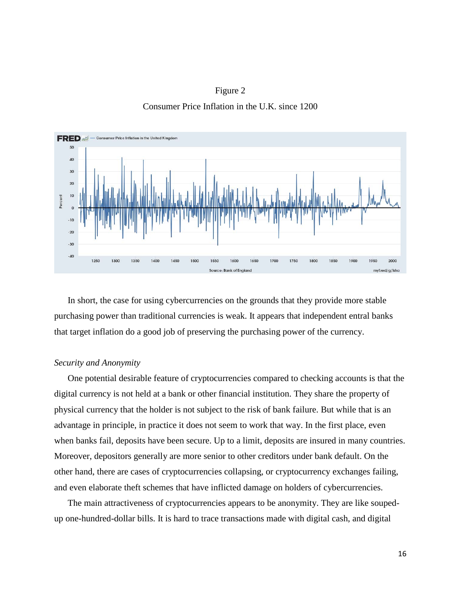



In short, the case for using cybercurrencies on the grounds that they provide more stable purchasing power than traditional currencies is weak. It appears that independent entral banks that target inflation do a good job of preserving the purchasing power of the currency.

#### *Security and Anonymity*

One potential desirable feature of cryptocurrencies compared to checking accounts is that the digital currency is not held at a bank or other financial institution. They share the property of physical currency that the holder is not subject to the risk of bank failure. But while that is an advantage in principle, in practice it does not seem to work that way. In the first place, even when banks fail, deposits have been secure. Up to a limit, deposits are insured in many countries. Moreover, depositors generally are more senior to other creditors under bank default. On the other hand, there are cases of cryptocurrencies collapsing, or cryptocurrency exchanges failing, and even elaborate theft schemes that have inflicted damage on holders of cybercurrencies.

The main attractiveness of cryptocurrencies appears to be anonymity. They are like soupedup one-hundred-dollar bills. It is hard to trace transactions made with digital cash, and digital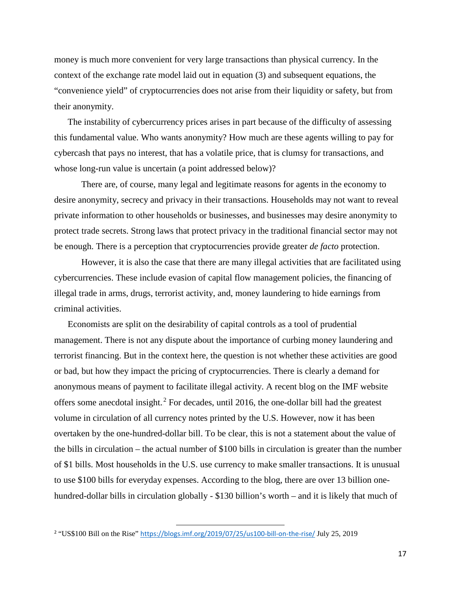money is much more convenient for very large transactions than physical currency. In the context of the exchange rate model laid out in equation (3) and subsequent equations, the "convenience yield" of cryptocurrencies does not arise from their liquidity or safety, but from their anonymity.

The instability of cybercurrency prices arises in part because of the difficulty of assessing this fundamental value. Who wants anonymity? How much are these agents willing to pay for cybercash that pays no interest, that has a volatile price, that is clumsy for transactions, and whose long-run value is uncertain (a point addressed below)?

There are, of course, many legal and legitimate reasons for agents in the economy to desire anonymity, secrecy and privacy in their transactions. Households may not want to reveal private information to other households or businesses, and businesses may desire anonymity to protect trade secrets. Strong laws that protect privacy in the traditional financial sector may not be enough. There is a perception that cryptocurrencies provide greater *de facto* protection.

However, it is also the case that there are many illegal activities that are facilitated using cybercurrencies. These include evasion of capital flow management policies, the financing of illegal trade in arms, drugs, terrorist activity, and, money laundering to hide earnings from criminal activities.

Economists are split on the desirability of capital controls as a tool of prudential management. There is not any dispute about the importance of curbing money laundering and terrorist financing. But in the context here, the question is not whether these activities are good or bad, but how they impact the pricing of cryptocurrencies. There is clearly a demand for anonymous means of payment to facilitate illegal activity. A recent blog on the IMF website offers some anecdotal insight.<sup>2</sup> For decades, until 2016, the one-dollar bill had the greatest volume in circulation of all currency notes printed by the U.S. However, now it has been overtaken by the one-hundred-dollar bill. To be clear, this is not a statement about the value of the bills in circulation – the actual number of \$100 bills in circulation is greater than the number of \$1 bills. Most households in the U.S. use currency to make smaller transactions. It is unusual to use \$100 bills for everyday expenses. According to the blog, there are over 13 billion onehundred-dollar bills in circulation globally - \$130 billion's worth – and it is likely that much of

 <sup>2</sup> "US\$100 Bill on the Rise" <https://blogs.imf.org/2019/07/25/us100-bill-on-the-rise/> July 25, 2019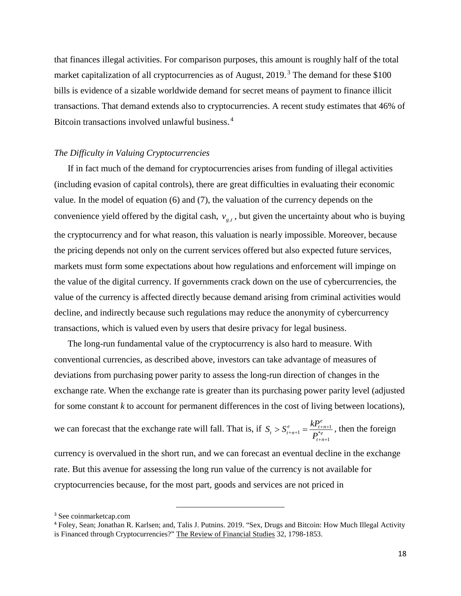that finances illegal activities. For comparison purposes, this amount is roughly half of the total market capitalization of all cryptocurrencies as of August, 2019.<sup>3</sup> The demand for these \$100 bills is evidence of a sizable worldwide demand for secret means of payment to finance illicit transactions. That demand extends also to cryptocurrencies. A recent study estimates that 46% of Bitcoin transactions involved unlawful business.<sup>4</sup>

## *The Difficulty in Valuing Cryptocurrencies*

If in fact much of the demand for cryptocurrencies arises from funding of illegal activities (including evasion of capital controls), there are great difficulties in evaluating their economic value. In the model of equation (6) and (7), the valuation of the currency depends on the convenience yield offered by the digital cash,  $v_{g,t}$ , but given the uncertainty about who is buying the cryptocurrency and for what reason, this valuation is nearly impossible. Moreover, because the pricing depends not only on the current services offered but also expected future services, markets must form some expectations about how regulations and enforcement will impinge on the value of the digital currency. If governments crack down on the use of cybercurrencies, the value of the currency is affected directly because demand arising from criminal activities would decline, and indirectly because such regulations may reduce the anonymity of cybercurrency transactions, which is valued even by users that desire privacy for legal business.

The long-run fundamental value of the cryptocurrency is also hard to measure. With conventional currencies, as described above, investors can take advantage of measures of deviations from purchasing power parity to assess the long-run direction of changes in the exchange rate. When the exchange rate is greater than its purchasing power parity level (adjusted for some constant *k* to account for permanent differences in the cost of living between locations),

we can forecast that the exchange rate will fall. That is, if  $S_t > S_{t+n+1}^e = \frac{N_{t+n+1}}{D}$ 1 *e*  $\qquad E_{t+n}^e$  $t^{2} u + n + 1 = 0$  $t + n$  $S_t > S_{t+n+1}^e = \frac{kP_t}{R^*}$ *P*  $t_{n+1}^{\epsilon} = \frac{M_{t+n+1}}{D^*e}$  $+n+$  $> S_{t+n+1}^e = \frac{M_{t+n+1}}{R_{t+n+1}^*}$ , then the foreign

currency is overvalued in the short run, and we can forecast an eventual decline in the exchange rate. But this avenue for assessing the long run value of the currency is not available for cryptocurrencies because, for the most part, goods and services are not priced in

 <sup>3</sup> See coinmarketcap.com

<sup>4</sup> Foley, Sean; Jonathan R. Karlsen; and, Talis J. Putnins. 2019. "Sex, Drugs and Bitcoin: How Much Illegal Activity is Financed through Cryptocurrencies?" The Review of Financial Studies 32, 1798-1853.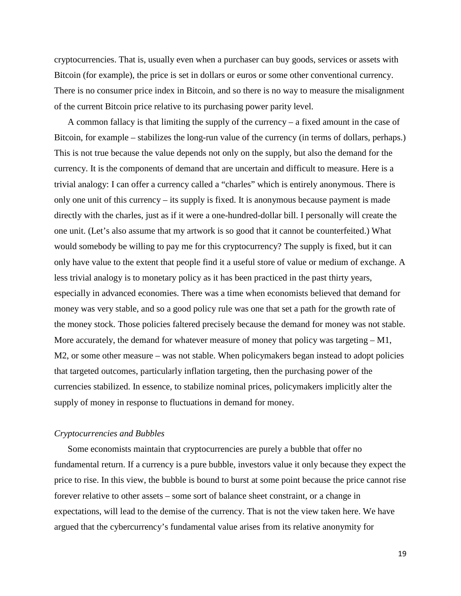cryptocurrencies. That is, usually even when a purchaser can buy goods, services or assets with Bitcoin (for example), the price is set in dollars or euros or some other conventional currency. There is no consumer price index in Bitcoin, and so there is no way to measure the misalignment of the current Bitcoin price relative to its purchasing power parity level.

A common fallacy is that limiting the supply of the currency – a fixed amount in the case of Bitcoin, for example – stabilizes the long-run value of the currency (in terms of dollars, perhaps.) This is not true because the value depends not only on the supply, but also the demand for the currency. It is the components of demand that are uncertain and difficult to measure. Here is a trivial analogy: I can offer a currency called a "charles" which is entirely anonymous. There is only one unit of this currency – its supply is fixed. It is anonymous because payment is made directly with the charles, just as if it were a one-hundred-dollar bill. I personally will create the one unit. (Let's also assume that my artwork is so good that it cannot be counterfeited.) What would somebody be willing to pay me for this cryptocurrency? The supply is fixed, but it can only have value to the extent that people find it a useful store of value or medium of exchange. A less trivial analogy is to monetary policy as it has been practiced in the past thirty years, especially in advanced economies. There was a time when economists believed that demand for money was very stable, and so a good policy rule was one that set a path for the growth rate of the money stock. Those policies faltered precisely because the demand for money was not stable. More accurately, the demand for whatever measure of money that policy was targeting  $-M1$ , M2, or some other measure – was not stable. When policymakers began instead to adopt policies that targeted outcomes, particularly inflation targeting, then the purchasing power of the currencies stabilized. In essence, to stabilize nominal prices, policymakers implicitly alter the supply of money in response to fluctuations in demand for money.

#### *Cryptocurrencies and Bubbles*

Some economists maintain that cryptocurrencies are purely a bubble that offer no fundamental return. If a currency is a pure bubble, investors value it only because they expect the price to rise. In this view, the bubble is bound to burst at some point because the price cannot rise forever relative to other assets – some sort of balance sheet constraint, or a change in expectations, will lead to the demise of the currency. That is not the view taken here. We have argued that the cybercurrency's fundamental value arises from its relative anonymity for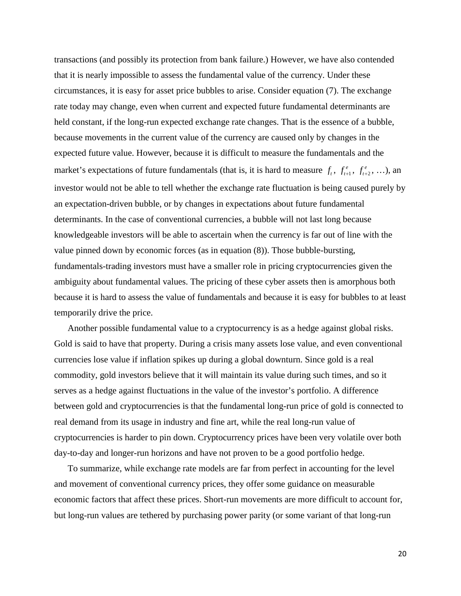transactions (and possibly its protection from bank failure.) However, we have also contended that it is nearly impossible to assess the fundamental value of the currency. Under these circumstances, it is easy for asset price bubbles to arise. Consider equation (7). The exchange rate today may change, even when current and expected future fundamental determinants are held constant, if the long-run expected exchange rate changes. That is the essence of a bubble, because movements in the current value of the currency are caused only by changes in the expected future value. However, because it is difficult to measure the fundamentals and the market's expectations of future fundamentals (that is, it is hard to measure  $f_t$ ,  $f_{t+1}^e$ ,  $f_{t+2}^e$ , ...), an investor would not be able to tell whether the exchange rate fluctuation is being caused purely by an expectation-driven bubble, or by changes in expectations about future fundamental determinants. In the case of conventional currencies, a bubble will not last long because knowledgeable investors will be able to ascertain when the currency is far out of line with the value pinned down by economic forces (as in equation (8)). Those bubble-bursting, fundamentals-trading investors must have a smaller role in pricing cryptocurrencies given the ambiguity about fundamental values. The pricing of these cyber assets then is amorphous both because it is hard to assess the value of fundamentals and because it is easy for bubbles to at least temporarily drive the price.

Another possible fundamental value to a cryptocurrency is as a hedge against global risks. Gold is said to have that property. During a crisis many assets lose value, and even conventional currencies lose value if inflation spikes up during a global downturn. Since gold is a real commodity, gold investors believe that it will maintain its value during such times, and so it serves as a hedge against fluctuations in the value of the investor's portfolio. A difference between gold and cryptocurrencies is that the fundamental long-run price of gold is connected to real demand from its usage in industry and fine art, while the real long-run value of cryptocurrencies is harder to pin down. Cryptocurrency prices have been very volatile over both day-to-day and longer-run horizons and have not proven to be a good portfolio hedge.

To summarize, while exchange rate models are far from perfect in accounting for the level and movement of conventional currency prices, they offer some guidance on measurable economic factors that affect these prices. Short-run movements are more difficult to account for, but long-run values are tethered by purchasing power parity (or some variant of that long-run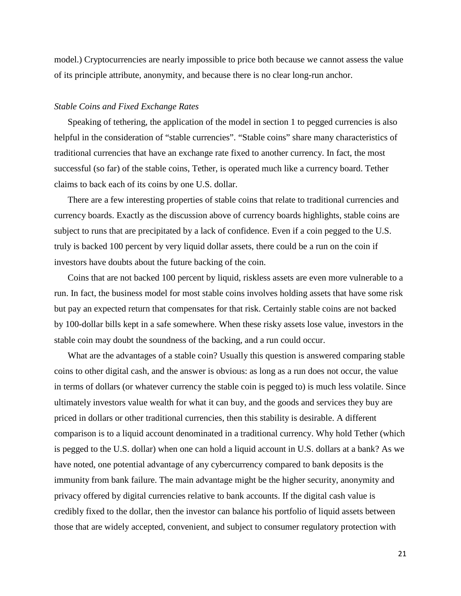model.) Cryptocurrencies are nearly impossible to price both because we cannot assess the value of its principle attribute, anonymity, and because there is no clear long-run anchor.

# *Stable Coins and Fixed Exchange Rates*

Speaking of tethering, the application of the model in section 1 to pegged currencies is also helpful in the consideration of "stable currencies". "Stable coins" share many characteristics of traditional currencies that have an exchange rate fixed to another currency. In fact, the most successful (so far) of the stable coins, Tether, is operated much like a currency board. Tether claims to back each of its coins by one U.S. dollar.

There are a few interesting properties of stable coins that relate to traditional currencies and currency boards. Exactly as the discussion above of currency boards highlights, stable coins are subject to runs that are precipitated by a lack of confidence. Even if a coin pegged to the U.S. truly is backed 100 percent by very liquid dollar assets, there could be a run on the coin if investors have doubts about the future backing of the coin.

Coins that are not backed 100 percent by liquid, riskless assets are even more vulnerable to a run. In fact, the business model for most stable coins involves holding assets that have some risk but pay an expected return that compensates for that risk. Certainly stable coins are not backed by 100-dollar bills kept in a safe somewhere. When these risky assets lose value, investors in the stable coin may doubt the soundness of the backing, and a run could occur.

What are the advantages of a stable coin? Usually this question is answered comparing stable coins to other digital cash, and the answer is obvious: as long as a run does not occur, the value in terms of dollars (or whatever currency the stable coin is pegged to) is much less volatile. Since ultimately investors value wealth for what it can buy, and the goods and services they buy are priced in dollars or other traditional currencies, then this stability is desirable. A different comparison is to a liquid account denominated in a traditional currency. Why hold Tether (which is pegged to the U.S. dollar) when one can hold a liquid account in U.S. dollars at a bank? As we have noted, one potential advantage of any cybercurrency compared to bank deposits is the immunity from bank failure. The main advantage might be the higher security, anonymity and privacy offered by digital currencies relative to bank accounts. If the digital cash value is credibly fixed to the dollar, then the investor can balance his portfolio of liquid assets between those that are widely accepted, convenient, and subject to consumer regulatory protection with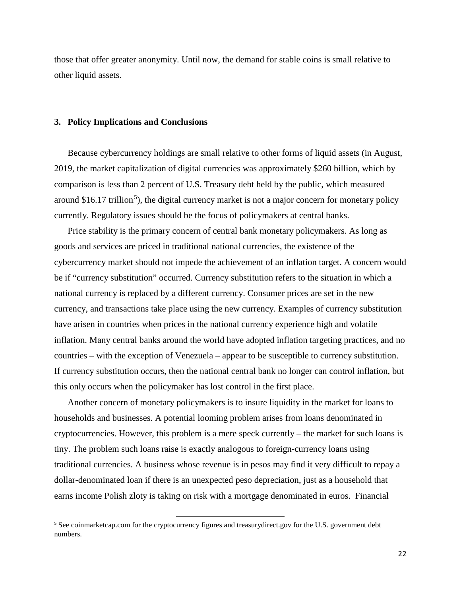those that offer greater anonymity. Until now, the demand for stable coins is small relative to other liquid assets.

#### **3. Policy Implications and Conclusions**

Because cybercurrency holdings are small relative to other forms of liquid assets (in August, 2019, the market capitalization of digital currencies was approximately \$260 billion, which by comparison is less than 2 percent of U.S. Treasury debt held by the public, which measured around \$16.17 trillion<sup>5</sup>), the digital currency market is not a major concern for monetary policy currently. Regulatory issues should be the focus of policymakers at central banks.

Price stability is the primary concern of central bank monetary policymakers. As long as goods and services are priced in traditional national currencies, the existence of the cybercurrency market should not impede the achievement of an inflation target. A concern would be if "currency substitution" occurred. Currency substitution refers to the situation in which a national currency is replaced by a different currency. Consumer prices are set in the new currency, and transactions take place using the new currency. Examples of currency substitution have arisen in countries when prices in the national currency experience high and volatile inflation. Many central banks around the world have adopted inflation targeting practices, and no countries – with the exception of Venezuela – appear to be susceptible to currency substitution. If currency substitution occurs, then the national central bank no longer can control inflation, but this only occurs when the policymaker has lost control in the first place.

Another concern of monetary policymakers is to insure liquidity in the market for loans to households and businesses. A potential looming problem arises from loans denominated in cryptocurrencies. However, this problem is a mere speck currently – the market for such loans is tiny. The problem such loans raise is exactly analogous to foreign-currency loans using traditional currencies. A business whose revenue is in pesos may find it very difficult to repay a dollar-denominated loan if there is an unexpected peso depreciation, just as a household that earns income Polish zloty is taking on risk with a mortgage denominated in euros. Financial

<sup>&</sup>lt;sup>5</sup> See coinmarketcap.com for the cryptocurrency figures and treasurydirect.gov for the U.S. government debt numbers.